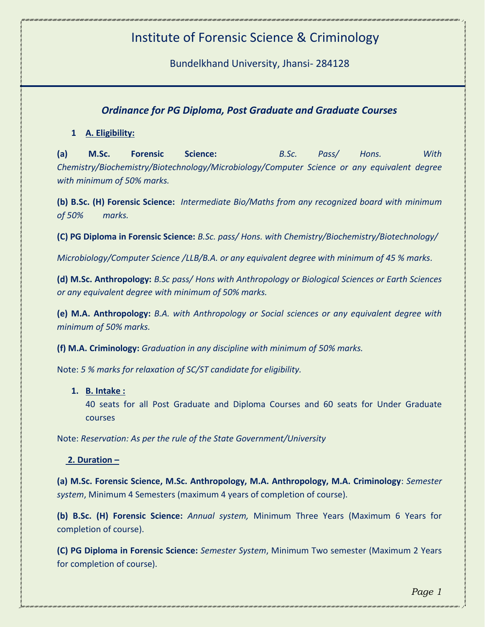# Institute of Forensic Science & Criminology

Bundelkhand University, Jhansi- 284128

# *Ordinance for PG Diploma, Post Graduate and Graduate Courses*

## **1 A. Eligibility:**

**(a) M.Sc. Forensic Science:** *B.Sc. Pass/ Hons. With Chemistry/Biochemistry/Biotechnology/Microbiology/Computer Science or any equivalent degree with minimum of 50% marks.*

**(b) B.Sc. (H) Forensic Science:** *Intermediate Bio/Maths from any recognized board with minimum of 50% marks.*

**(C) PG Diploma in Forensic Science:** *B.Sc. pass/ Hons. with Chemistry/Biochemistry/Biotechnology/*

*Microbiology/Computer Science /LLB/B.A. or any equivalent degree with minimum of 45 % marks.*

**(d) M.Sc. Anthropology:** *B.Sc pass/ Hons with Anthropology or Biological Sciences or Earth Sciences or any equivalent degree with minimum of 50% marks.*

**(e) M.A. Anthropology:** *B.A. with Anthropology or Social sciences or any equivalent degree with minimum of 50% marks.*

**(f) M.A. Criminology:** *Graduation in any discipline with minimum of 50% marks.*

Note: *5 % marks for relaxation of SC/ST candidate for eligibility.*

#### **1. B. Intake :**

40 seats for all Post Graduate and Diploma Courses and 60 seats for Under Graduate courses

Note: *Reservation: As per the rule of the State Government/University*

#### **2. Duration –**

**(a) M.Sc. Forensic Science, M.Sc. Anthropology, M.A. Anthropology, M.A. Criminology**: *Semester system*, Minimum 4 Semesters (maximum 4 years of completion of course).

**(b) B.Sc. (H) Forensic Science:** *Annual system,* Minimum Three Years (Maximum 6 Years for completion of course).

**(C) PG Diploma in Forensic Science:** *Semester System*, Minimum Two semester (Maximum 2 Years for completion of course).

*Page 1*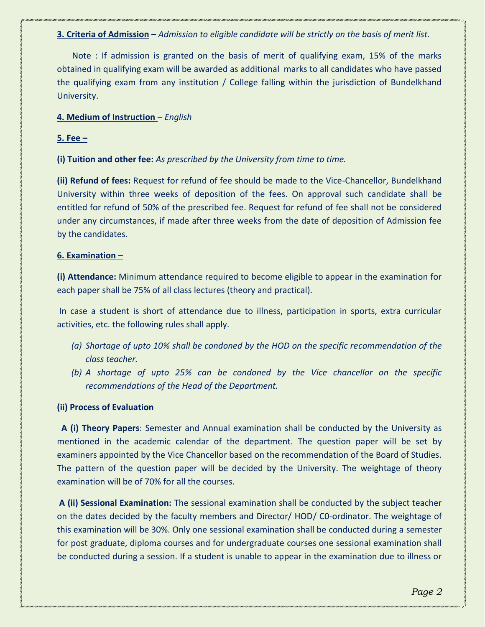**3. Criteria of Admission** – *Admission to eligible candidate will be strictly on the basis of merit list.*

 Note : If admission is granted on the basis of merit of qualifying exam, 15% of the marks obtained in qualifying exam will be awarded as additional marks to all candidates who have passed the qualifying exam from any institution / College falling within the jurisdiction of Bundelkhand University.

**4. Medium of Instruction** – *English*

#### **5. Fee –**

**(i) Tuition and other fee:** *As prescribed by the University from time to time.*

**(ii) Refund of fees:** Request for refund of fee should be made to the Vice-Chancellor, Bundelkhand University within three weeks of deposition of the fees. On approval such candidate shall be entitled for refund of 50% of the prescribed fee. Request for refund of fee shall not be considered under any circumstances, if made after three weeks from the date of deposition of Admission fee by the candidates.

#### **6. Examination –**

**(i) Attendance:** Minimum attendance required to become eligible to appear in the examination for each paper shall be 75% of all class lectures (theory and practical).

In case a student is short of attendance due to illness, participation in sports, extra curricular activities, etc. the following rules shall apply.

- *(a) Shortage of upto 10% shall be condoned by the HOD on the specific recommendation of the class teacher.*
- *(b) A shortage of upto 25% can be condoned by the Vice chancellor on the specific recommendations of the Head of the Department.*

## **(ii) Process of Evaluation**

 **A (i) Theory Papers**: Semester and Annual examination shall be conducted by the University as mentioned in the academic calendar of the department. The question paper will be set by examiners appointed by the Vice Chancellor based on the recommendation of the Board of Studies. The pattern of the question paper will be decided by the University. The weightage of theory examination will be of 70% for all the courses.

**A (ii) Sessional Examination:** The sessional examination shall be conducted by the subject teacher on the dates decided by the faculty members and Director/ HOD/ C0-ordinator. The weightage of this examination will be 30%. Only one sessional examination shall be conducted during a semester for post graduate, diploma courses and for undergraduate courses one sessional examination shall be conducted during a session. If a student is unable to appear in the examination due to illness or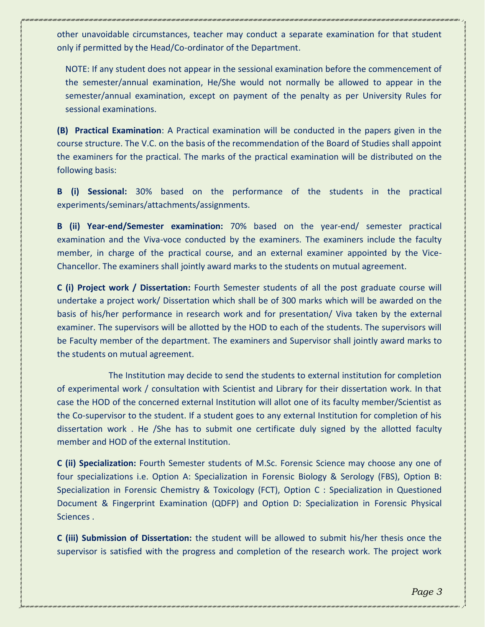other unavoidable circumstances, teacher may conduct a separate examination for that student only if permitted by the Head/Co-ordinator of the Department.

NOTE: If any student does not appear in the sessional examination before the commencement of the semester/annual examination, He/She would not normally be allowed to appear in the semester/annual examination, except on payment of the penalty as per University Rules for sessional examinations.

**(B) Practical Examination**: A Practical examination will be conducted in the papers given in the course structure. The V.C. on the basis of the recommendation of the Board of Studies shall appoint the examiners for the practical. The marks of the practical examination will be distributed on the following basis:

**B (i) Sessional:** 30% based on the performance of the students in the practical experiments/seminars/attachments/assignments.

**B (ii) Year-end/Semester examination:** 70% based on the year-end/ semester practical examination and the Viva-voce conducted by the examiners. The examiners include the faculty member, in charge of the practical course, and an external examiner appointed by the Vice-Chancellor. The examiners shall jointly award marks to the students on mutual agreement.

**C (i) Project work / Dissertation:** Fourth Semester students of all the post graduate course will undertake a project work/ Dissertation which shall be of 300 marks which will be awarded on the basis of his/her performance in research work and for presentation/ Viva taken by the external examiner. The supervisors will be allotted by the HOD to each of the students. The supervisors will be Faculty member of the department. The examiners and Supervisor shall jointly award marks to the students on mutual agreement.

 The Institution may decide to send the students to external institution for completion of experimental work / consultation with Scientist and Library for their dissertation work. In that case the HOD of the concerned external Institution will allot one of its faculty member/Scientist as the Co-supervisor to the student. If a student goes to any external Institution for completion of his dissertation work . He /She has to submit one certificate duly signed by the allotted faculty member and HOD of the external Institution.

**C (ii) Specialization:** Fourth Semester students of M.Sc. Forensic Science may choose any one of four specializations i.e. Option A: Specialization in Forensic Biology & Serology (FBS), Option B: Specialization in Forensic Chemistry & Toxicology (FCT), Option C : Specialization in Questioned Document & Fingerprint Examination (QDFP) and Option D: Specialization in Forensic Physical Sciences .

**C (iii) Submission of Dissertation:** the student will be allowed to submit his/her thesis once the supervisor is satisfied with the progress and completion of the research work. The project work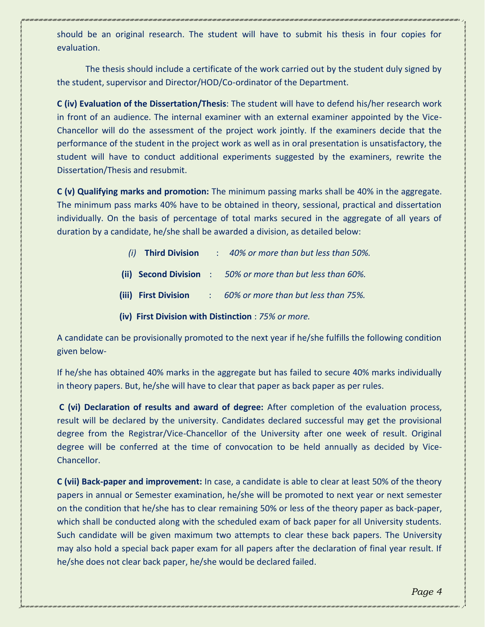should be an original research. The student will have to submit his thesis in four copies for evaluation.

The thesis should include a certificate of the work carried out by the student duly signed by the student, supervisor and Director/HOD/Co-ordinator of the Department.

**C (iv) Evaluation of the Dissertation/Thesis**: The student will have to defend his/her research work in front of an audience. The internal examiner with an external examiner appointed by the Vice-Chancellor will do the assessment of the project work jointly. If the examiners decide that the performance of the student in the project work as well as in oral presentation is unsatisfactory, the student will have to conduct additional experiments suggested by the examiners, rewrite the Dissertation/Thesis and resubmit.

**C (v) Qualifying marks and promotion:** The minimum passing marks shall be 40% in the aggregate. The minimum pass marks 40% have to be obtained in theory, sessional, practical and dissertation individually. On the basis of percentage of total marks secured in the aggregate of all years of duration by a candidate, he/she shall be awarded a division, as detailed below:

- *(i)* **Third Division** : *40% or more than but less than 50%.*
- **(ii) Second Division** : *50% or more than but less than 60%.*
- **(iii) First Division** : *60% or more than but less than 75%.*
- **(iv) First Division with Distinction** : *75% or more.*

A candidate can be provisionally promoted to the next year if he/she fulfills the following condition given below-

If he/she has obtained 40% marks in the aggregate but has failed to secure 40% marks individually in theory papers. But, he/she will have to clear that paper as back paper as per rules.

**C (vi) Declaration of results and award of degree:** After completion of the evaluation process, result will be declared by the university. Candidates declared successful may get the provisional degree from the Registrar/Vice-Chancellor of the University after one week of result. Original degree will be conferred at the time of convocation to be held annually as decided by Vice-Chancellor.

**C (vii) Back-paper and improvement:** In case, a candidate is able to clear at least 50% of the theory papers in annual or Semester examination, he/she will be promoted to next year or next semester on the condition that he/she has to clear remaining 50% or less of the theory paper as back-paper, which shall be conducted along with the scheduled exam of back paper for all University students. Such candidate will be given maximum two attempts to clear these back papers. The University may also hold a special back paper exam for all papers after the declaration of final year result. If he/she does not clear back paper, he/she would be declared failed.